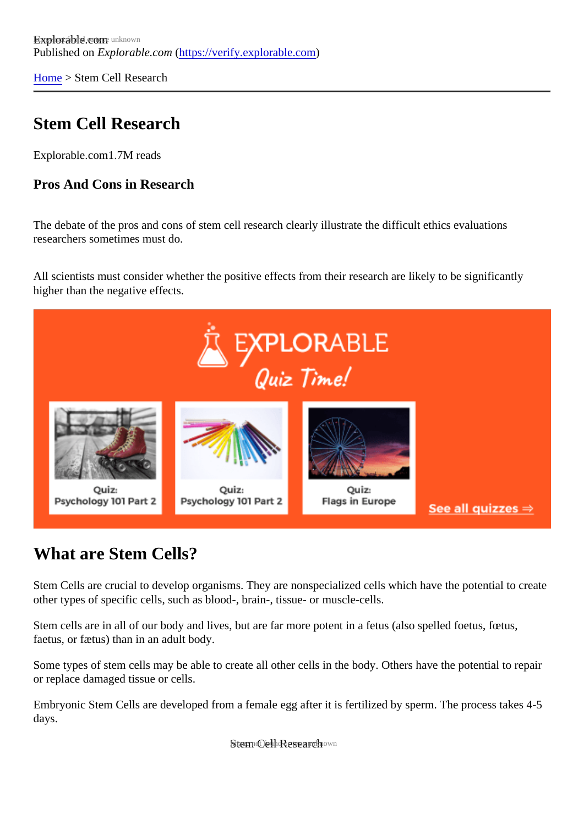[Home](https://verify.explorable.com/)> Stem Cell Research

# Stem Cell Research

Explorable.com .7M reads

Pros And Cons in Research

The debate of the pros and cons of stem cell research clearly illustrate the difficult ethics evaluations researchers sometimes must do.

All scientists must consider whether the positive effects from their research are likely to be significantly higher than the negative effects.

# What are Stem Cells?

Stem Cells are crucial to develop organisms. They are nonspecialized cells which have the potential to cre other types of specific cells, such as blood-, brain-, tissue- or muscle-cells.

Stem cells are in all of our body and lives, but are far more potent in a fetus (also spelled foetus, fœtus, faetus, or fætus) than in an adult body.

Some types of stem cells may be able to create all other cells in the body. Others have the potential to repair or replace damaged tissue or cells.

Embryonic Stem Cells are developed from a female egg after it is fertilized by sperm. The process takes 4-55 days.

**Steem Celh Research wn**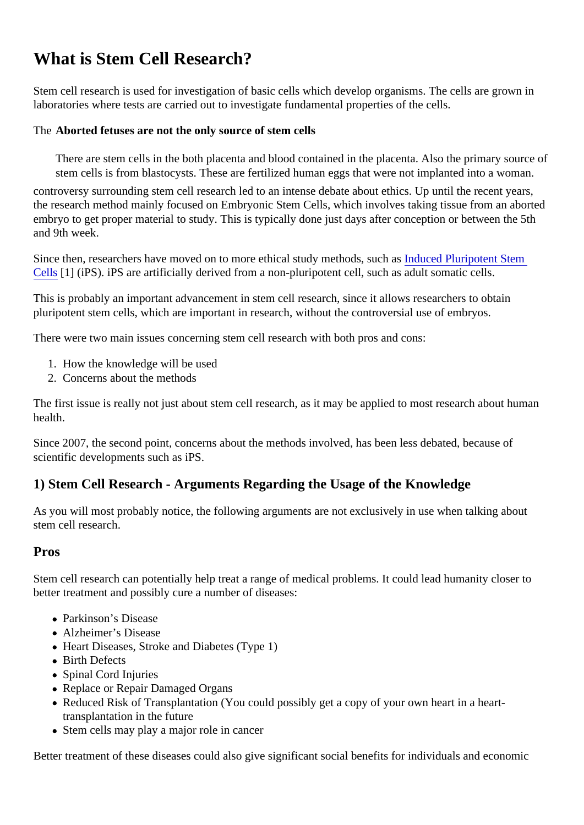# What is Stem Cell Research?

Stem cell research is used for investigation of basic cells which develop organisms. The cells are grown in laboratories where tests are carried out to investigate fundamental properties of the cells.

The Aborted fetuses are not the only source of stem cells

There are stem cells in the both placenta and blood contained in the placenta. Also the primary source stem cells is from blastocysts. These are fertilized human eggs that were not implanted into a woman.

controversy surrounding stem cell research led to an intense debate about ethics. Up until the recent year the research method mainly focused on Embryonic Stem Cells, which involves taking tissue from an abort embryo to get proper material to study. This is typically done just days after conception or between the 5th and 9th week.

Since then, researchers have moved on to more ethical study methods, **Induced Pluripotent Stem** [Cells](http://en.wikipedia.org/wiki/Induced_pluripotent_stem_cell)[1] (iPS). iPS are artificially derived from a non-pluripotent cell, such as adult somatic cells.

This is probably an important advancement in stem cell research, since it allows researchers to obtain pluripotent stem cells, which are important in research, without the controversial use of embryos.

There were two main issues concerning stem cell research with both pros and cons:

- 1. How the knowledge will be used
- 2. Concerns about the methods

The first issue is really not just about stem cell research, as it may be applied to most research about hum health.

Since 2007, the second point, concerns about the methods involved, has been less debated, because of scientific developments such as iPS.

1) Stem Cell Research - Arguments Regarding the Usage of the Knowledge

As you will most probably notice, the following arguments are not exclusively in use when talking about stem cell research.

#### Pros

Stem cell research can potentially help treat a range of medical problems. It could lead humanity closer to better treatment and possibly cure a number of diseases:

- Parkinson's Disease
- Alzheimer's Disease
- Heart Diseases, Stroke and Diabetes (Type 1)
- Birth Defects
- Spinal Cord Injuries
- Replace or Repair Damaged Organs
- Reduced Risk of Transplantation (You could possibly get a copy of your own heart in a hearttransplantation in the future
- Stem cells may play a major role in cancer

Better treatment of these diseases could also give significant social benefits for individuals and economic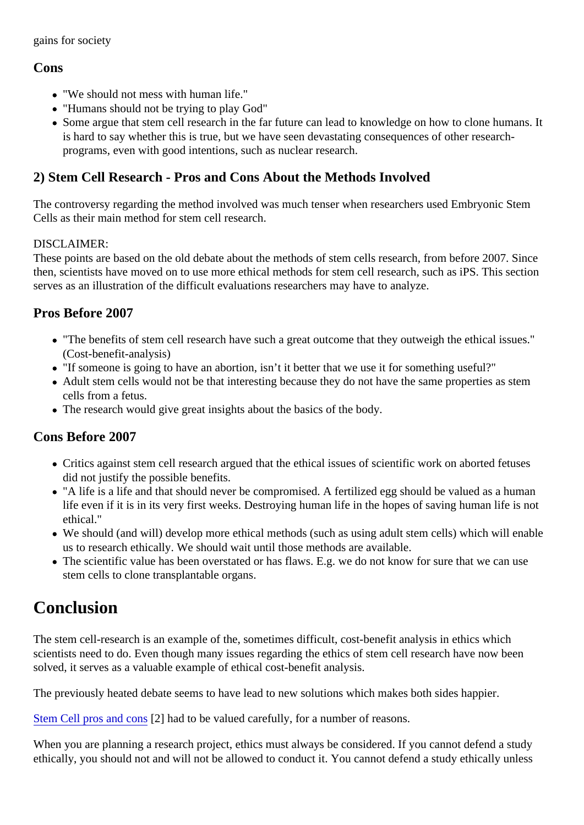## Cons

- "We should not mess with human life."
- "Humans should not be trying to play God"
- Some argue that stem cell research in the far future can lead to knowledge on how to clone humans. is hard to say whether this is true, but we have seen devastating consequences of other researchprograms, even with good intentions, such as nuclear research.

## 2) Stem Cell Research - Pros and Cons About the Methods Involved

The controversy regarding the method involved was much tenser when researchers used Embryonic Stem Cells as their main method for stem cell research.

#### DISCLAIMER:

These points are based on the old debate about the methods of stem cells research, from before 2007. Since then, scientists have moved on to use more ethical methods for stem cell research, such as iPS. This sect serves as an illustration of the difficult evaluations researchers may have to analyze.

## Pros Before 2007

- "The benefits of stem cell research have such a great outcome that they outweigh the ethical issues." (Cost-benefit-analysis)
- "If someone is going to have an abortion, isn't it better that we use it for something useful?"
- Adult stem cells would not be that interesting because they do not have the same properties as stem cells from a fetus.
- The research would give great insights about the basics of the body.

## Cons Before 2007

- Critics against stem cell research argued that the ethical issues of scientific work on aborted fetuses did not justify the possible benefits.
- "A life is a life and that should never be compromised. A fertilized egg should be valued as a human life even if it is in its very first weeks. Destroying human life in the hopes of saving human life is not ethical."
- We should (and will) develop more ethical methods (such as using adult stem cells) which will enable us to research ethically. We should wait until those methods are available.
- The scientific value has been overstated or has flaws. E.g. we do not know for sure that we can use stem cells to clone transplantable organs.

# Conclusion

The stem cell-research is an example of the, sometimes difficult, cost-benefit analysis in ethics which scientists need to do. Even though many issues regarding the ethics of stem cell research have now been solved, it serves as a valuable example of ethical cost-benefit analysis.

The previously heated debate seems to have lead to new solutions which makes both sides happier.

[Stem Cell pros and co](http://biotech.about.com/od/bioethics/i/issuestemcells_2.htm)n<sup>2</sup> had to be valued carefully, for a number of reasons.

When you are planning a research project, ethics must always be considered. If you cannot defend a stud ethically, you should not and will not be allowed to conduct it. You cannot defend a study ethically unless